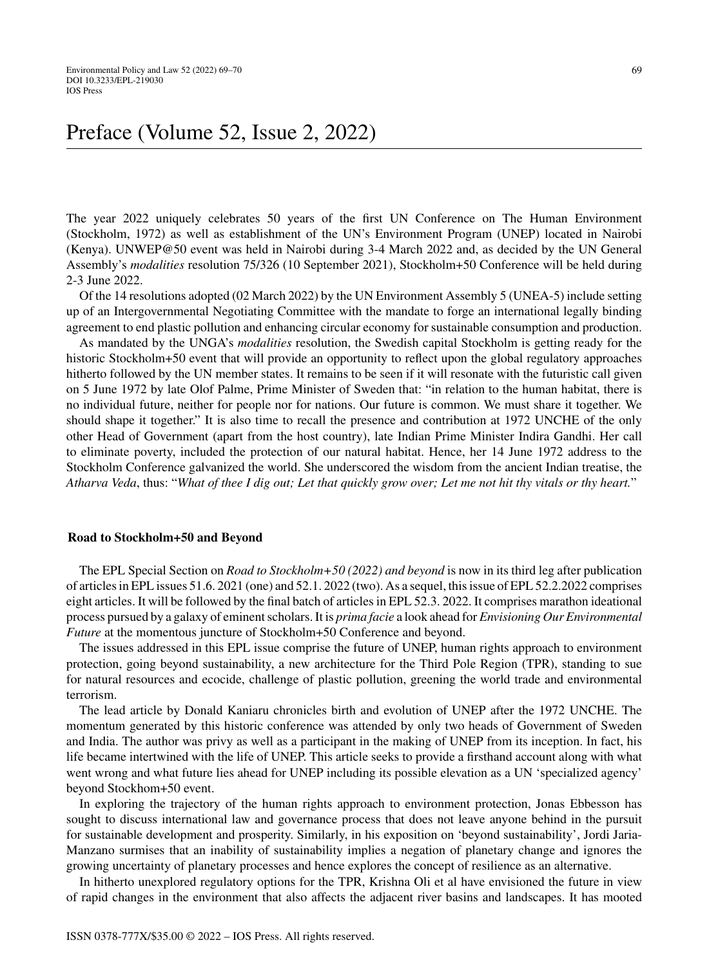# Preface (Volume 52, Issue 2, 2022)

The year 2022 uniquely celebrates 50 years of the first UN Conference on The Human Environment (Stockholm, 1972) as well as establishment of the UN's Environment Program (UNEP) located in Nairobi (Kenya). UNWEP@50 event was held in Nairobi during 3-4 March 2022 and, as decided by the UN General Assembly's *modalities* resolution 75/326 (10 September 2021), Stockholm+50 Conference will be held during 2-3 June 2022.

Of the 14 resolutions adopted (02 March 2022) by the UN Environment Assembly 5 (UNEA-5) include setting up of an Intergovernmental Negotiating Committee with the mandate to forge an international legally binding agreement to end plastic pollution and enhancing circular economy for sustainable consumption and production.

As mandated by the UNGA's *modalities* resolution, the Swedish capital Stockholm is getting ready for the historic Stockholm+50 event that will provide an opportunity to reflect upon the global regulatory approaches hitherto followed by the UN member states. It remains to be seen if it will resonate with the futuristic call given on 5 June 1972 by late Olof Palme, Prime Minister of Sweden that: "in relation to the human habitat, there is no individual future, neither for people nor for nations. Our future is common. We must share it together. We should shape it together." It is also time to recall the presence and contribution at 1972 UNCHE of the only other Head of Government (apart from the host country), late Indian Prime Minister Indira Gandhi. Her call to eliminate poverty, included the protection of our natural habitat. Hence, her 14 June 1972 address to the Stockholm Conference galvanized the world. She underscored the wisdom from the ancient Indian treatise, the *Atharva Veda*, thus: "*What of thee I dig out; Let that quickly grow over; Let me not hit thy vitals or thy heart.*"

### **Road to Stockholm+50 and Beyond**

The EPL Special Section on *Road to Stockholm+50 (2022) and beyond* is now in its third leg after publication of articles in EPL issues 51.6. 2021 (one) and 52.1. 2022 (two). As a sequel, this issue of EPL 52.2.2022 comprises eight articles. It will be followed by the final batch of articles in EPL 52.3. 2022. It comprises marathon ideational process pursued by a galaxy of eminent scholars. It is *prima facie* a look ahead for *Envisioning Our Environmental Future* at the momentous juncture of Stockholm+50 Conference and beyond.

The issues addressed in this EPL issue comprise the future of UNEP, human rights approach to environment protection, going beyond sustainability, a new architecture for the Third Pole Region (TPR), standing to sue for natural resources and ecocide, challenge of plastic pollution, greening the world trade and environmental terrorism.

The lead article by Donald Kaniaru chronicles birth and evolution of UNEP after the 1972 UNCHE. The momentum generated by this historic conference was attended by only two heads of Government of Sweden and India. The author was privy as well as a participant in the making of UNEP from its inception. In fact, his life became intertwined with the life of UNEP. This article seeks to provide a firsthand account along with what went wrong and what future lies ahead for UNEP including its possible elevation as a UN 'specialized agency' beyond Stockhom+50 event.

In exploring the trajectory of the human rights approach to environment protection, Jonas Ebbesson has sought to discuss international law and governance process that does not leave anyone behind in the pursuit for sustainable development and prosperity. Similarly, in his exposition on 'beyond sustainability', Jordi Jaria-Manzano surmises that an inability of sustainability implies a negation of planetary change and ignores the growing uncertainty of planetary processes and hence explores the concept of resilience as an alternative.

In hitherto unexplored regulatory options for the TPR, Krishna Oli et al have envisioned the future in view of rapid changes in the environment that also affects the adjacent river basins and landscapes. It has mooted